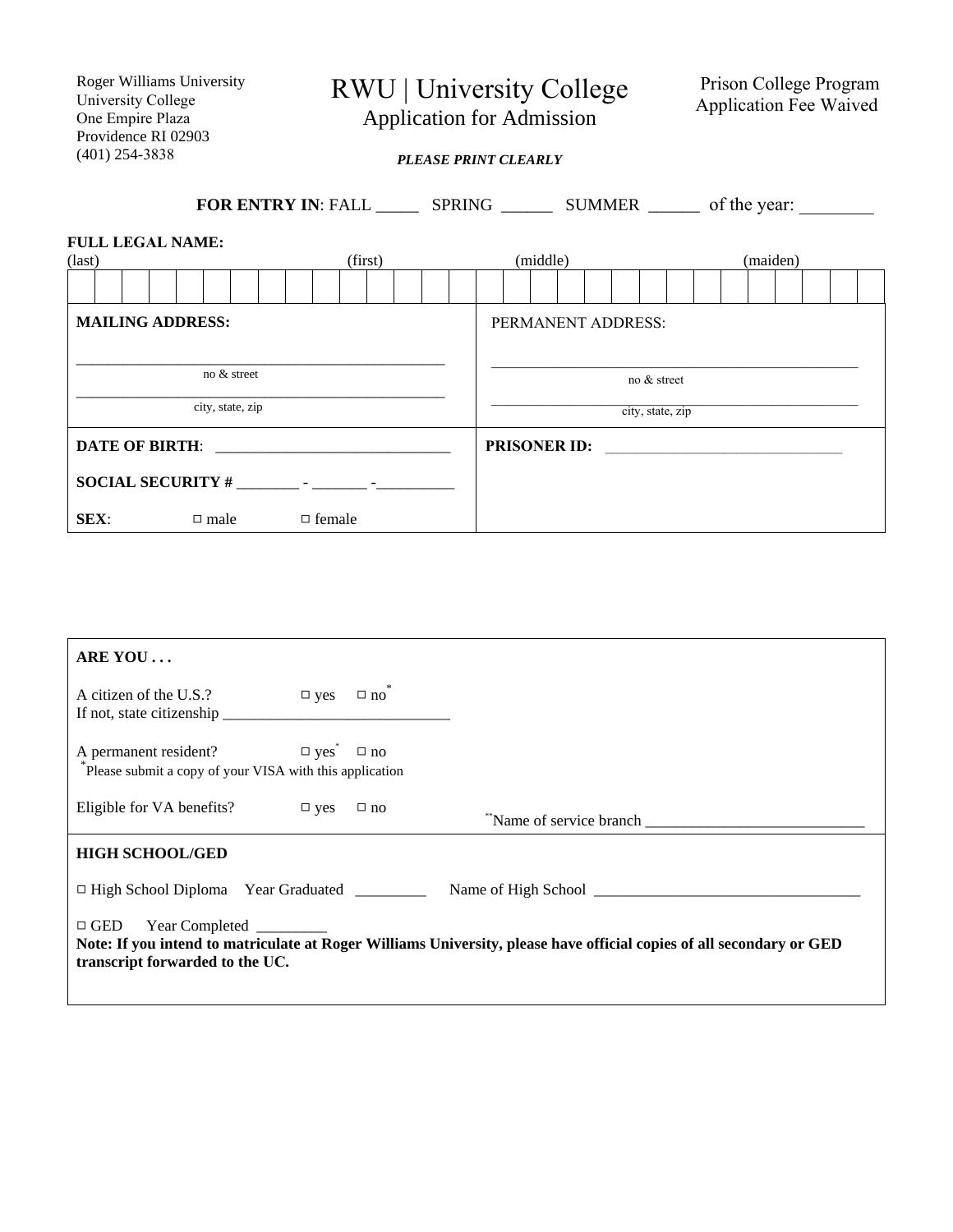Roger Williams University University College One Empire Plaza Providence RI 02903 (401) 254-3838

RWU | University College

Prison College Program Application Fee Waived

Application for Admission

*PLEASE PRINT CLEARLY*

**FOR ENTRY IN:** FALL \_\_\_\_\_\_\_\_ SPRING \_\_\_\_\_\_\_\_\_ SUMMER \_\_\_\_\_\_\_\_ of the year: **FULL LEGAL NAME:**  (last) (first) (middle) (maiden) (maiden) **MAILING ADDRESS:**  $\overline{\phantom{a}}$  no & street  $\frac{1}{\text{city, state, zip}}$ **DATE OF BIRTH: SOCIAL SECURITY #** \_\_\_\_\_\_\_\_ - \_\_\_\_\_\_\_ -\_\_\_\_\_\_\_\_\_\_ **SEX**:  $\Box$  male  $\Box$  female **PRISONER ID:** \_\_\_\_\_\_\_\_\_\_\_\_\_\_\_\_\_\_\_\_\_\_\_\_\_\_\_\_\_\_\_\_\_\_\_\_\_\_PERMANENT ADDRESS: \_\_\_\_\_\_\_\_\_\_\_\_\_\_\_\_\_\_\_\_\_\_\_\_\_\_\_\_\_\_\_\_\_\_\_\_\_\_\_\_\_\_\_\_\_\_\_ no & street  $\mathcal{L}_\text{max}$  and  $\mathcal{L}_\text{max}$  and  $\mathcal{L}_\text{max}$  and  $\mathcal{L}_\text{max}$  and  $\mathcal{L}_\text{max}$ city, state, zip

| ARE YOU                                                                                                                                                                                   |                            |  |                        |  |  |  |  |
|-------------------------------------------------------------------------------------------------------------------------------------------------------------------------------------------|----------------------------|--|------------------------|--|--|--|--|
| A citizen of the U.S.?                                                                                                                                                                    | $\square$ yes $\square$ no |  |                        |  |  |  |  |
| A permanent resident? $\Box$ yes <sup>*</sup> $\Box$ no<br>Please submit a copy of your VISA with this application                                                                        |                            |  |                        |  |  |  |  |
| Eligible for VA benefits? $\Box$ yes $\Box$ no                                                                                                                                            |                            |  | Name of service branch |  |  |  |  |
| <b>HIGH SCHOOL/GED</b>                                                                                                                                                                    |                            |  |                        |  |  |  |  |
| $\Box$ High School Diploma Year Graduated                                                                                                                                                 |                            |  |                        |  |  |  |  |
| □ GED Year Completed _________<br>Note: If you intend to matriculate at Roger Williams University, please have official copies of all secondary or GED<br>transcript forwarded to the UC. |                            |  |                        |  |  |  |  |